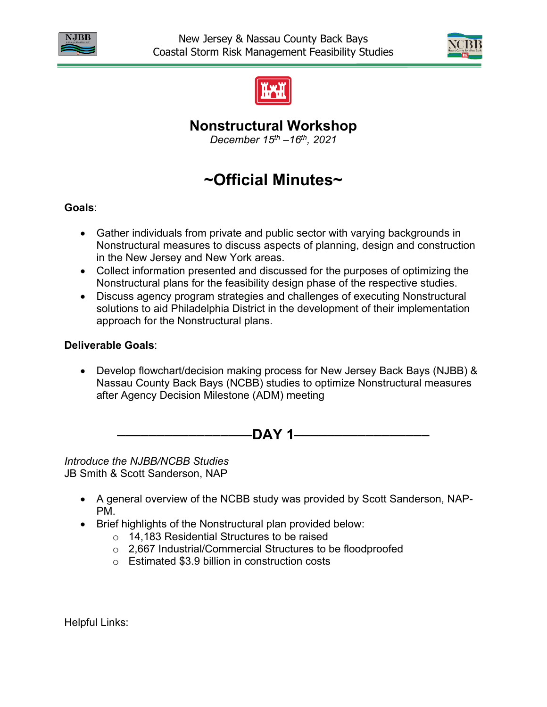





**Nonstructural Workshop**

*December 15th* –*16th, 2021*

# **~Official Minutes~**

# **Goals**:

- Gather individuals from private and public sector with varying backgrounds in Nonstructural measures to discuss aspects of planning, design and construction in the New Jersey and New York areas.
- Collect information presented and discussed for the purposes of optimizing the Nonstructural plans for the feasibility design phase of the respective studies.
- Discuss agency program strategies and challenges of executing Nonstructural solutions to aid Philadelphia District in the development of their implementation approach for the Nonstructural plans.

# **Deliverable Goals**:

• Develop flowchart/decision making process for New Jersey Back Bays (NJBB) & Nassau County Back Bays (NCBB) studies to optimize Nonstructural measures after Agency Decision Milestone (ADM) meeting



*Introduce the NJBB/NCBB Studies* JB Smith & Scott Sanderson, NAP

- A general overview of the NCBB study was provided by Scott Sanderson, NAP-PM.
- Brief highlights of the Nonstructural plan provided below:
	- o 14,183 Residential Structures to be raised
	- o 2,667 Industrial/Commercial Structures to be floodproofed
	- o Estimated \$3.9 billion in construction costs

Helpful Links: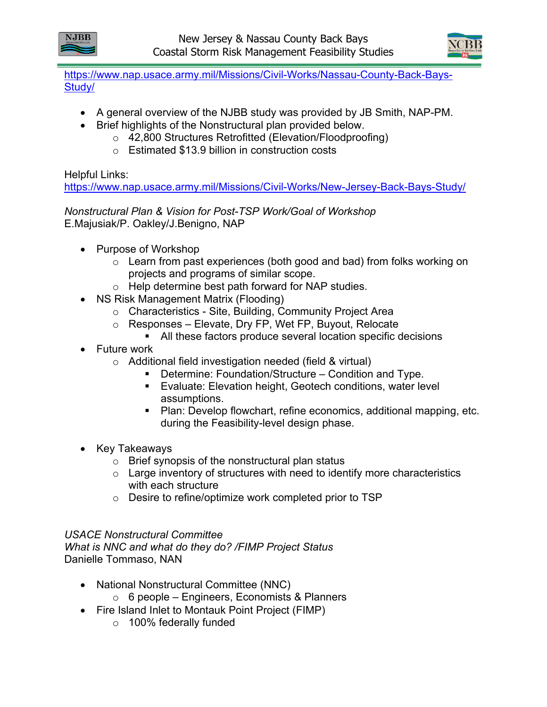



[https://www.nap.usace.army.mil/Missions/Civil-Works/Nassau-County-Back-Bays-](https://www.nap.usace.army.mil/Missions/Civil-Works/Nassau-County-Back-Bays-Study/)[Study/](https://www.nap.usace.army.mil/Missions/Civil-Works/Nassau-County-Back-Bays-Study/)

- A general overview of the NJBB study was provided by JB Smith, NAP-PM.
- Brief highlights of the Nonstructural plan provided below.
	- o 42,800 Structures Retrofitted (Elevation/Floodproofing)
	- o Estimated \$13.9 billion in construction costs

#### Helpful Links:

<https://www.nap.usace.army.mil/Missions/Civil-Works/New-Jersey-Back-Bays-Study/>

*Nonstructural Plan & Vision for Post-TSP Work/Goal of Workshop* E.Majusiak/P. Oakley/J.Benigno, NAP

- Purpose of Workshop
	- o Learn from past experiences (both good and bad) from folks working on projects and programs of similar scope.
	- o Help determine best path forward for NAP studies.
- NS Risk Management Matrix (Flooding)
	- o Characteristics Site, Building, Community Project Area
	- o Responses Elevate, Dry FP, Wet FP, Buyout, Relocate
		- All these factors produce several location specific decisions
- Future work
	- o Additional field investigation needed (field & virtual)
		- Determine: Foundation/Structure Condition and Type.
		- Evaluate: Elevation height, Geotech conditions, water level assumptions.
		- **Plan: Develop flowchart, refine economics, additional mapping, etc.** during the Feasibility-level design phase.
- Key Takeaways
	- o Brief synopsis of the nonstructural plan status
	- $\circ$  Large inventory of structures with need to identify more characteristics with each structure
	- o Desire to refine/optimize work completed prior to TSP

#### *USACE Nonstructural Committee*

*What is NNC and what do they do? /FIMP Project Status* Danielle Tommaso, NAN

- National Nonstructural Committee (NNC)
	- $\circ$  6 people Engineers, Economists & Planners
- Fire Island Inlet to Montauk Point Project (FIMP)
	- o 100% federally funded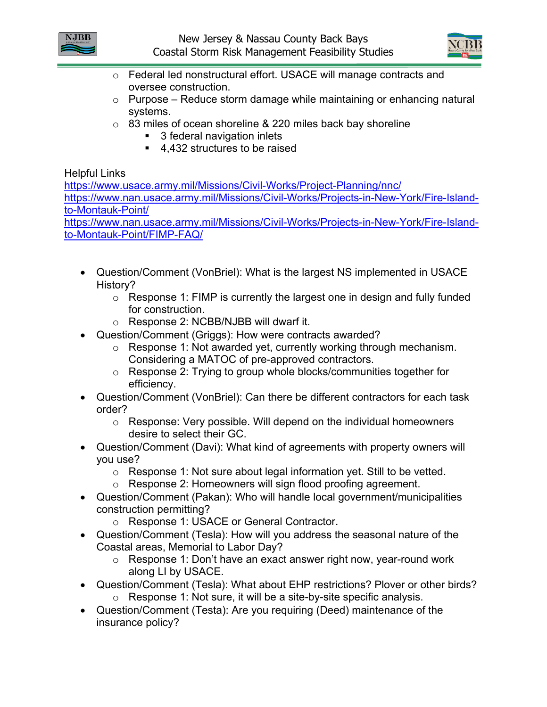



- o Federal led nonstructural effort. USACE will manage contracts and oversee construction.
- $\circ$  Purpose Reduce storm damage while maintaining or enhancing natural systems.
- $\circ$  83 miles of ocean shoreline & 220 miles back bay shoreline
	- 3 federal navigation inlets
	- 4,432 structures to be raised

# Helpful Links

<https://www.usace.army.mil/Missions/Civil-Works/Project-Planning/nnc/> [https://www.nan.usace.army.mil/Missions/Civil-Works/Projects-in-New-York/Fire-Island](https://www.nan.usace.army.mil/Missions/Civil-Works/Projects-in-New-York/Fire-Island-to-Montauk-Point/)[to-Montauk-Point/](https://www.nan.usace.army.mil/Missions/Civil-Works/Projects-in-New-York/Fire-Island-to-Montauk-Point/) [https://www.nan.usace.army.mil/Missions/Civil-Works/Projects-in-New-York/Fire-Island-](https://www.nan.usace.army.mil/Missions/Civil-Works/Projects-in-New-York/Fire-Island-to-Montauk-Point/FIMP-FAQ/)

[to-Montauk-Point/FIMP-FAQ/](https://www.nan.usace.army.mil/Missions/Civil-Works/Projects-in-New-York/Fire-Island-to-Montauk-Point/FIMP-FAQ/)

- Question/Comment (VonBriel): What is the largest NS implemented in USACE History?
	- o Response 1: FIMP is currently the largest one in design and fully funded for construction.
	- o Response 2: NCBB/NJBB will dwarf it.
- Question/Comment (Griggs): How were contracts awarded?
	- o Response 1: Not awarded yet, currently working through mechanism. Considering a MATOC of pre-approved contractors.
	- o Response 2: Trying to group whole blocks/communities together for efficiency.
- Question/Comment (VonBriel): Can there be different contractors for each task order?
	- o Response: Very possible. Will depend on the individual homeowners desire to select their GC.
- Question/Comment (Davi): What kind of agreements with property owners will you use?
	- o Response 1: Not sure about legal information yet. Still to be vetted.
	- o Response 2: Homeowners will sign flood proofing agreement.
- Question/Comment (Pakan): Who will handle local government/municipalities construction permitting?
	- o Response 1: USACE or General Contractor.
- Question/Comment (Tesla): How will you address the seasonal nature of the Coastal areas, Memorial to Labor Day?
	- o Response 1: Don't have an exact answer right now, year-round work along LI by USACE.
- Question/Comment (Tesla): What about EHP restrictions? Plover or other birds?
	- o Response 1: Not sure, it will be a site-by-site specific analysis.
- Question/Comment (Testa): Are you requiring (Deed) maintenance of the insurance policy?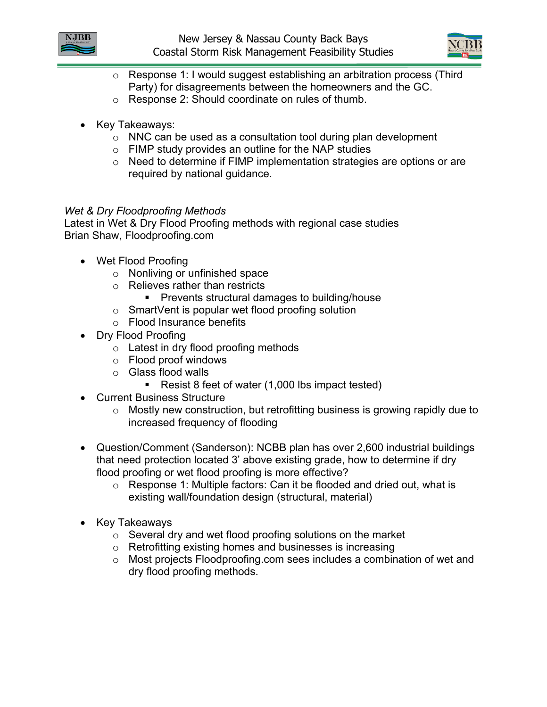



- o Response 1: I would suggest establishing an arbitration process (Third Party) for disagreements between the homeowners and the GC.
- o Response 2: Should coordinate on rules of thumb.
- Key Takeaways:
	- $\circ$  NNC can be used as a consultation tool during plan development
	- o FIMP study provides an outline for the NAP studies
	- o Need to determine if FIMP implementation strategies are options or are required by national guidance.

#### *Wet & Dry Floodproofing Methods*

Latest in Wet & Dry Flood Proofing methods with regional case studies Brian Shaw, Floodproofing.com

- Wet Flood Proofing
	- o Nonliving or unfinished space
	- o Relieves rather than restricts
		- Prevents structural damages to building/house
	- $\circ$  SmartVent is popular wet flood proofing solution
	- o Flood Insurance benefits
- Dry Flood Proofing
	- o Latest in dry flood proofing methods
	- o Flood proof windows
	- o Glass flood walls
		- Resist 8 feet of water (1,000 lbs impact tested)
- Current Business Structure
	- o Mostly new construction, but retrofitting business is growing rapidly due to increased frequency of flooding
- Question/Comment (Sanderson): NCBB plan has over 2,600 industrial buildings that need protection located 3' above existing grade, how to determine if dry flood proofing or wet flood proofing is more effective?
	- o Response 1: Multiple factors: Can it be flooded and dried out, what is existing wall/foundation design (structural, material)
- Key Takeaways
	- o Several dry and wet flood proofing solutions on the market
	- o Retrofitting existing homes and businesses is increasing
	- o Most projects Floodproofing.com sees includes a combination of wet and dry flood proofing methods.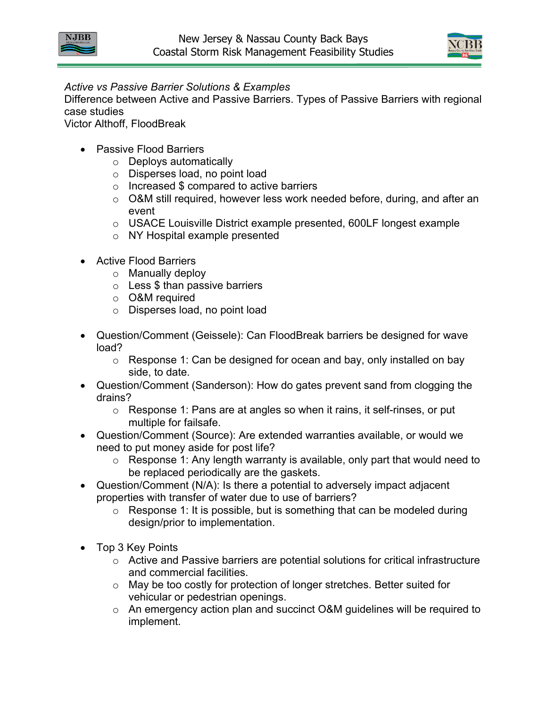

*Active vs Passive Barrier Solutions & Examples*

Difference between Active and Passive Barriers. Types of Passive Barriers with regional case studies

Victor Althoff, FloodBreak

- Passive Flood Barriers
	- o Deploys automatically
	- o Disperses load, no point load
	- o Increased \$ compared to active barriers
	- o O&M still required, however less work needed before, during, and after an event
	- o USACE Louisville District example presented, 600LF longest example
	- o NY Hospital example presented
- Active Flood Barriers
	- o Manually deploy
	- $\circ$  Less \$ than passive barriers
	- o O&M required
	- o Disperses load, no point load
- Question/Comment (Geissele): Can FloodBreak barriers be designed for wave load?
	- o Response 1: Can be designed for ocean and bay, only installed on bay side, to date.
- Question/Comment (Sanderson): How do gates prevent sand from clogging the drains?
	- o Response 1: Pans are at angles so when it rains, it self-rinses, or put multiple for failsafe.
- Question/Comment (Source): Are extended warranties available, or would we need to put money aside for post life?
	- $\circ$  Response 1: Any length warranty is available, only part that would need to be replaced periodically are the gaskets.
- Question/Comment (N/A): Is there a potential to adversely impact adjacent properties with transfer of water due to use of barriers?
	- $\circ$  Response 1: It is possible, but is something that can be modeled during design/prior to implementation.
- Top 3 Key Points
	- o Active and Passive barriers are potential solutions for critical infrastructure and commercial facilities.
	- o May be too costly for protection of longer stretches. Better suited for vehicular or pedestrian openings.
	- o An emergency action plan and succinct O&M guidelines will be required to implement.

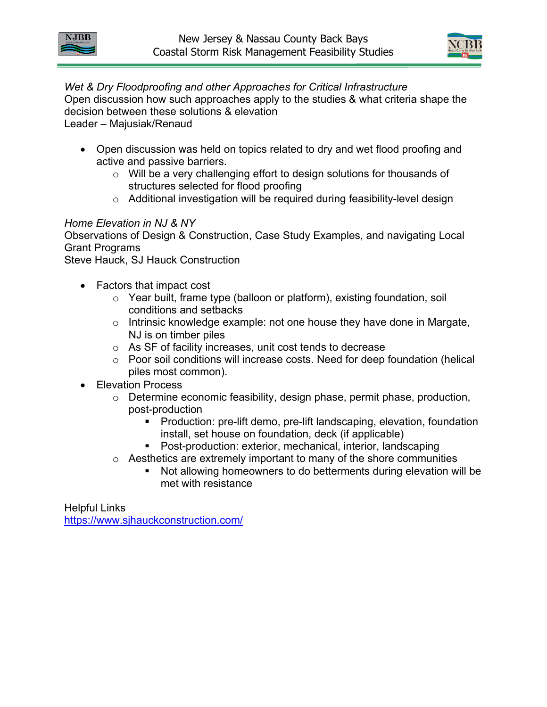



*Wet & Dry Floodproofing and other Approaches for Critical Infrastructure*

Open discussion how such approaches apply to the studies & what criteria shape the decision between these solutions & elevation

Leader – Majusiak/Renaud

- Open discussion was held on topics related to dry and wet flood proofing and active and passive barriers.
	- o Will be a very challenging effort to design solutions for thousands of structures selected for flood proofing
	- o Additional investigation will be required during feasibility-level design

# *Home Elevation in NJ & NY*

Observations of Design & Construction, Case Study Examples, and navigating Local Grant Programs

Steve Hauck, SJ Hauck Construction

- Factors that impact cost
	- o Year built, frame type (balloon or platform), existing foundation, soil conditions and setbacks
	- $\circ$  Intrinsic knowledge example: not one house they have done in Margate, NJ is on timber piles
	- o As SF of facility increases, unit cost tends to decrease
	- o Poor soil conditions will increase costs. Need for deep foundation (helical piles most common).
- Elevation Process
	- o Determine economic feasibility, design phase, permit phase, production, post-production
		- **Production: pre-lift demo, pre-lift landscaping, elevation, foundation** install, set house on foundation, deck (if applicable)
		- Post-production: exterior, mechanical, interior, landscaping
	- $\circ$  Aesthetics are extremely important to many of the shore communities
		- Not allowing homeowners to do betterments during elevation will be met with resistance

Helpful Links <https://www.sjhauckconstruction.com/>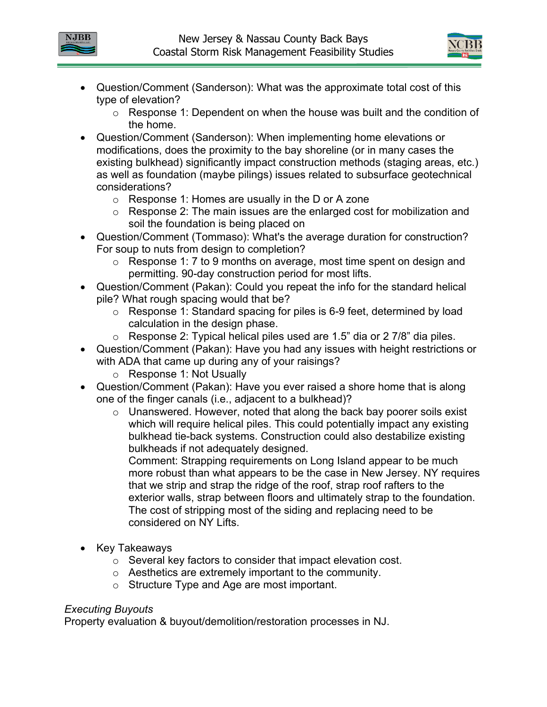

- Question/Comment (Sanderson): What was the approximate total cost of this type of elevation?
	- o Response 1: Dependent on when the house was built and the condition of the home.
- Question/Comment (Sanderson): When implementing home elevations or modifications, does the proximity to the bay shoreline (or in many cases the existing bulkhead) significantly impact construction methods (staging areas, etc.) as well as foundation (maybe pilings) issues related to subsurface geotechnical considerations?
	- o Response 1: Homes are usually in the D or A zone
	- o Response 2: The main issues are the enlarged cost for mobilization and soil the foundation is being placed on
- Question/Comment (Tommaso): What's the average duration for construction? For soup to nuts from design to completion?
	- $\circ$  Response 1: 7 to 9 months on average, most time spent on design and permitting. 90-day construction period for most lifts.
- Question/Comment (Pakan): Could you repeat the info for the standard helical pile? What rough spacing would that be?
	- o Response 1: Standard spacing for piles is 6-9 feet, determined by load calculation in the design phase.
	- $\circ$  Response 2: Typical helical piles used are 1.5" dia or 2 7/8" dia piles.
- Question/Comment (Pakan): Have you had any issues with height restrictions or with ADA that came up during any of your raisings?
	- o Response 1: Not Usually
- Question/Comment (Pakan): Have you ever raised a shore home that is along one of the finger canals (i.e., adjacent to a bulkhead)?
	- $\circ$  Unanswered. However, noted that along the back bay poorer soils exist which will require helical piles. This could potentially impact any existing bulkhead tie-back systems. Construction could also destabilize existing bulkheads if not adequately designed.

Comment: Strapping requirements on Long Island appear to be much more robust than what appears to be the case in New Jersey. NY requires that we strip and strap the ridge of the roof, strap roof rafters to the exterior walls, strap between floors and ultimately strap to the foundation. The cost of stripping most of the siding and replacing need to be considered on NY Lifts.

- Key Takeaways
	- o Several key factors to consider that impact elevation cost.
	- o Aesthetics are extremely important to the community.
	- o Structure Type and Age are most important.

# *Executing Buyouts*

Property evaluation & buyout/demolition/restoration processes in NJ.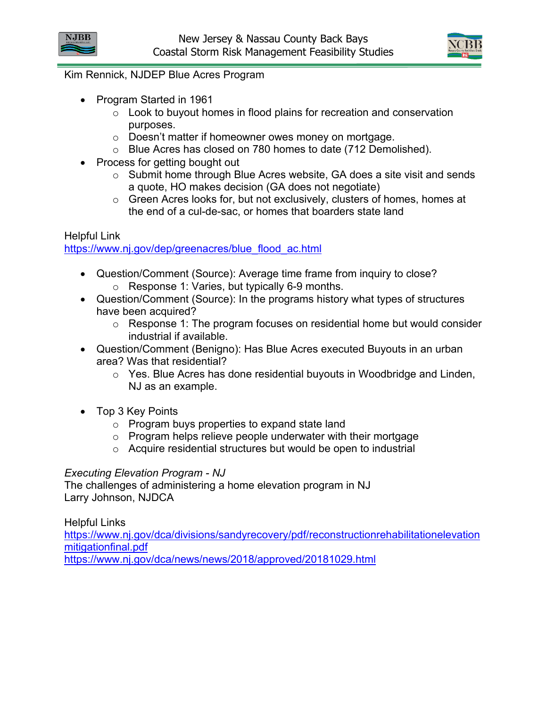



#### Kim Rennick, NJDEP Blue Acres Program

- Program Started in 1961
	- $\circ$  Look to buyout homes in flood plains for recreation and conservation purposes.
	- o Doesn't matter if homeowner owes money on mortgage.
	- o Blue Acres has closed on 780 homes to date (712 Demolished).
- Process for getting bought out
	- o Submit home through Blue Acres website, GA does a site visit and sends a quote, HO makes decision (GA does not negotiate)
	- o Green Acres looks for, but not exclusively, clusters of homes, homes at the end of a cul-de-sac, or homes that boarders state land

#### Helpful Link

[https://www.nj.gov/dep/greenacres/blue\\_flood\\_ac.html](https://www.nj.gov/dep/greenacres/blue_flood_ac.html)

- Question/Comment (Source): Average time frame from inquiry to close?
	- o Response 1: Varies, but typically 6-9 months.
- Question/Comment (Source): In the programs history what types of structures have been acquired?
	- o Response 1: The program focuses on residential home but would consider industrial if available.
- Question/Comment (Benigno): Has Blue Acres executed Buyouts in an urban area? Was that residential?
	- o Yes. Blue Acres has done residential buyouts in Woodbridge and Linden, NJ as an example.
- Top 3 Key Points
	- o Program buys properties to expand state land
	- o Program helps relieve people underwater with their mortgage
	- o Acquire residential structures but would be open to industrial

#### *Executing Elevation Program - NJ*

The challenges of administering a home elevation program in NJ Larry Johnson, NJDCA

Helpful Links

[https://www.nj.gov/dca/divisions/sandyrecovery/pdf/reconstructionrehabilitationelevation](https://www.nj.gov/dca/divisions/sandyrecovery/pdf/reconstructionrehabilitationelevationmitigationfinal.pdf) [mitigationfinal.pdf](https://www.nj.gov/dca/divisions/sandyrecovery/pdf/reconstructionrehabilitationelevationmitigationfinal.pdf) <https://www.nj.gov/dca/news/news/2018/approved/20181029.html>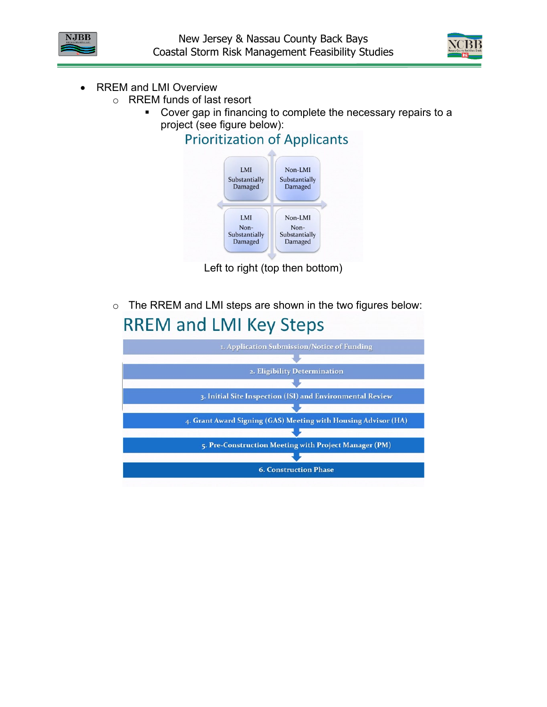



- RREM and LMI Overview
	- o RREM funds of last resort<br>Cover gap in financ
		- Cover gap in financing to complete the necessary repairs to a project (see figure below):

# **Prioritization of Applicants**



Left to right (top then bottom)

o The RREM and LMI steps are shown in the two figures below:

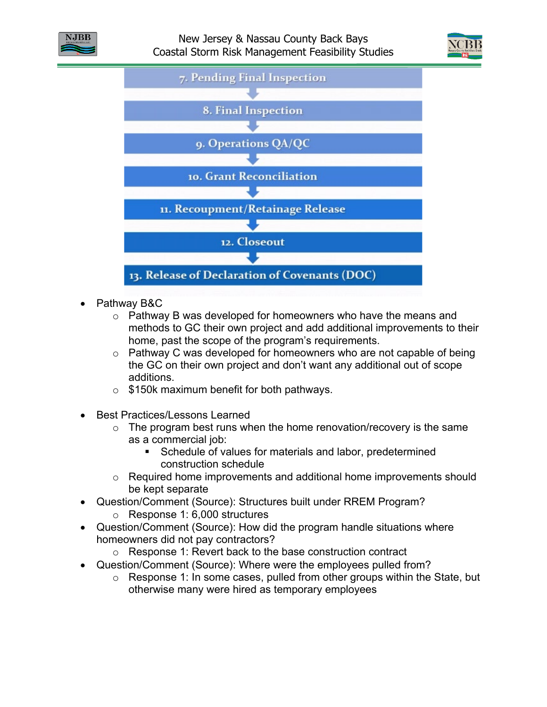





- Pathway B&C
	- o Pathway B was developed for homeowners who have the means and methods to GC their own project and add additional improvements to their home, past the scope of the program's requirements.
	- $\circ$  Pathway C was developed for homeowners who are not capable of being the GC on their own project and don't want any additional out of scope additions.
	- $\circ$  \$150k maximum benefit for both pathways.
- Best Practices/Lessons Learned
	- $\circ$  The program best runs when the home renovation/recovery is the same as a commercial job:
		- **Schedule of values for materials and labor, predetermined** construction schedule
	- o Required home improvements and additional home improvements should be kept separate
- Question/Comment (Source): Structures built under RREM Program? o Response 1: 6,000 structures
- Question/Comment (Source): How did the program handle situations where homeowners did not pay contractors?
	- o Response 1: Revert back to the base construction contract
- Question/Comment (Source): Where were the employees pulled from?
	- o Response 1: In some cases, pulled from other groups within the State, but otherwise many were hired as temporary employees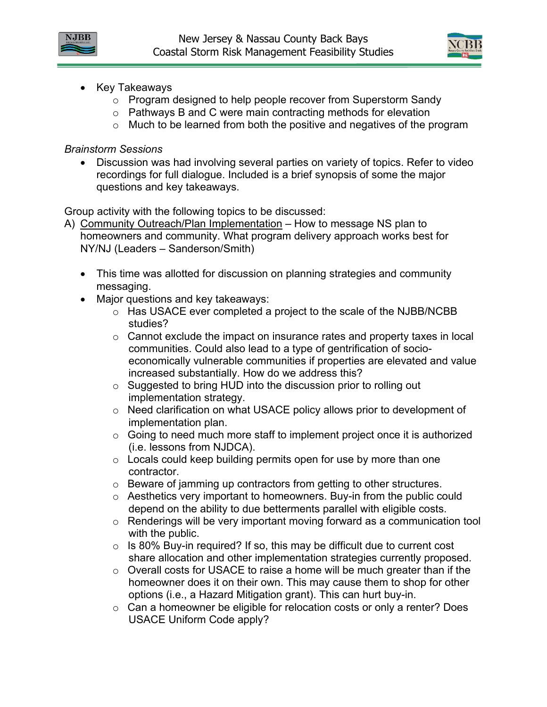



- Key Takeaways
	- o Program designed to help people recover from Superstorm Sandy
	- o Pathways B and C were main contracting methods for elevation
	- o Much to be learned from both the positive and negatives of the program

#### *Brainstorm Sessions*

• Discussion was had involving several parties on variety of topics. Refer to video recordings for full dialogue. Included is a brief synopsis of some the major questions and key takeaways.

Group activity with the following topics to be discussed:

- A) Community Outreach/Plan Implementation How to message NS plan to homeowners and community. What program delivery approach works best for NY/NJ (Leaders – Sanderson/Smith)
	- This time was allotted for discussion on planning strategies and community messaging.
	- Major questions and key takeaways:
		- o Has USACE ever completed a project to the scale of the NJBB/NCBB studies?
		- $\circ$  Cannot exclude the impact on insurance rates and property taxes in local communities. Could also lead to a type of gentrification of socioeconomically vulnerable communities if properties are elevated and value increased substantially. How do we address this?
		- o Suggested to bring HUD into the discussion prior to rolling out implementation strategy.
		- o Need clarification on what USACE policy allows prior to development of implementation plan.
		- o Going to need much more staff to implement project once it is authorized (i.e. lessons from NJDCA).
		- $\circ$  Locals could keep building permits open for use by more than one contractor.
		- o Beware of jamming up contractors from getting to other structures.
		- o Aesthetics very important to homeowners. Buy-in from the public could depend on the ability to due betterments parallel with eligible costs.
		- o Renderings will be very important moving forward as a communication tool with the public.
		- $\circ$  Is 80% Buy-in required? If so, this may be difficult due to current cost share allocation and other implementation strategies currently proposed.
		- o Overall costs for USACE to raise a home will be much greater than if the homeowner does it on their own. This may cause them to shop for other options (i.e., a Hazard Mitigation grant). This can hurt buy-in.
		- o Can a homeowner be eligible for relocation costs or only a renter? Does USACE Uniform Code apply?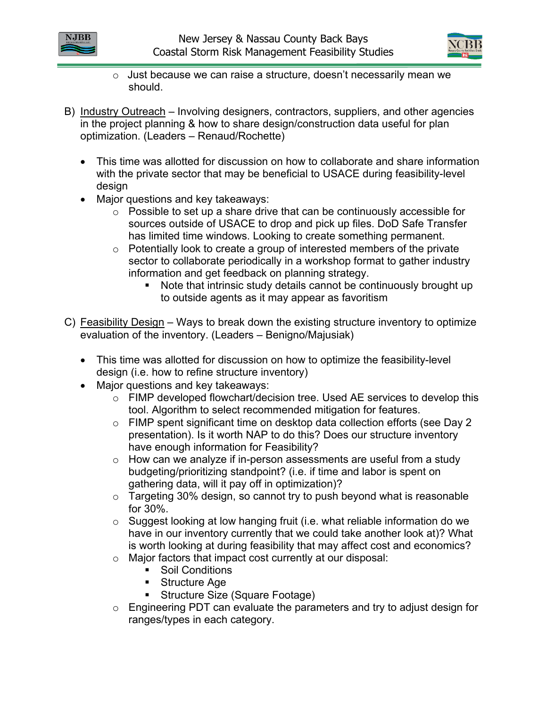



- $\circ$  Just because we can raise a structure, doesn't necessarily mean we should.
- B) Industry Outreach Involving designers, contractors, suppliers, and other agencies in the project planning & how to share design/construction data useful for plan optimization. (Leaders – Renaud/Rochette)
	- This time was allotted for discussion on how to collaborate and share information with the private sector that may be beneficial to USACE during feasibility-level design
	- Major questions and key takeaways:
		- o Possible to set up a share drive that can be continuously accessible for sources outside of USACE to drop and pick up files. DoD Safe Transfer has limited time windows. Looking to create something permanent.
		- $\circ$  Potentially look to create a group of interested members of the private sector to collaborate periodically in a workshop format to gather industry information and get feedback on planning strategy.
			- Note that intrinsic study details cannot be continuously brought up to outside agents as it may appear as favoritism
- C) Feasibility Design Ways to break down the existing structure inventory to optimize evaluation of the inventory. (Leaders – Benigno/Majusiak)
	- This time was allotted for discussion on how to optimize the feasibility-level design (i.e. how to refine structure inventory)
	- Major questions and key takeaways:
		- o FIMP developed flowchart/decision tree. Used AE services to develop this tool. Algorithm to select recommended mitigation for features.
		- o FIMP spent significant time on desktop data collection efforts (see Day 2 presentation). Is it worth NAP to do this? Does our structure inventory have enough information for Feasibility?
		- $\circ$  How can we analyze if in-person assessments are useful from a study budgeting/prioritizing standpoint? (i.e. if time and labor is spent on gathering data, will it pay off in optimization)?
		- $\circ$  Targeting 30% design, so cannot try to push beyond what is reasonable for 30%.
		- o Suggest looking at low hanging fruit (i.e. what reliable information do we have in our inventory currently that we could take another look at)? What is worth looking at during feasibility that may affect cost and economics?
		- o Major factors that impact cost currently at our disposal:
			- Soil Conditions
			- Structure Age
			- **Structure Size (Square Footage)**
		- o Engineering PDT can evaluate the parameters and try to adjust design for ranges/types in each category.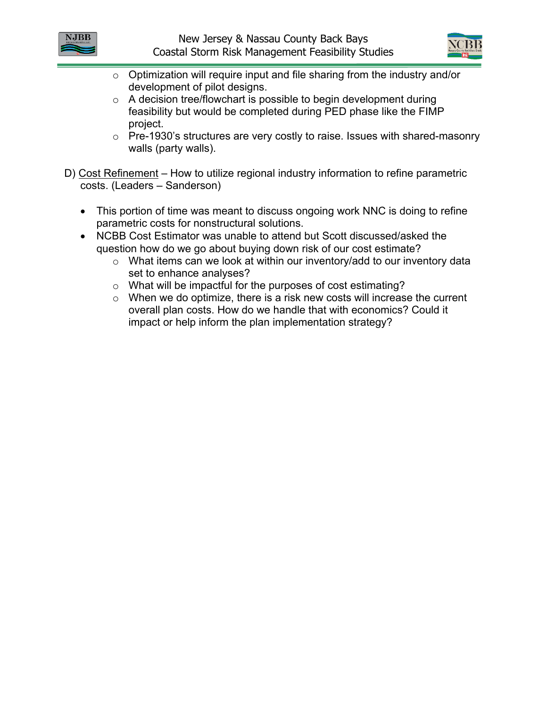



- o Optimization will require input and file sharing from the industry and/or development of pilot designs.
- o A decision tree/flowchart is possible to begin development during feasibility but would be completed during PED phase like the FIMP project.
- o Pre-1930's structures are very costly to raise. Issues with shared-masonry walls (party walls).
- D) Cost Refinement How to utilize regional industry information to refine parametric costs. (Leaders – Sanderson)
	- This portion of time was meant to discuss ongoing work NNC is doing to refine parametric costs for nonstructural solutions.
	- NCBB Cost Estimator was unable to attend but Scott discussed/asked the question how do we go about buying down risk of our cost estimate?
		- $\circ$  What items can we look at within our inventory/add to our inventory data set to enhance analyses?
		- o What will be impactful for the purposes of cost estimating?
		- $\circ$  When we do optimize, there is a risk new costs will increase the current overall plan costs. How do we handle that with economics? Could it impact or help inform the plan implementation strategy?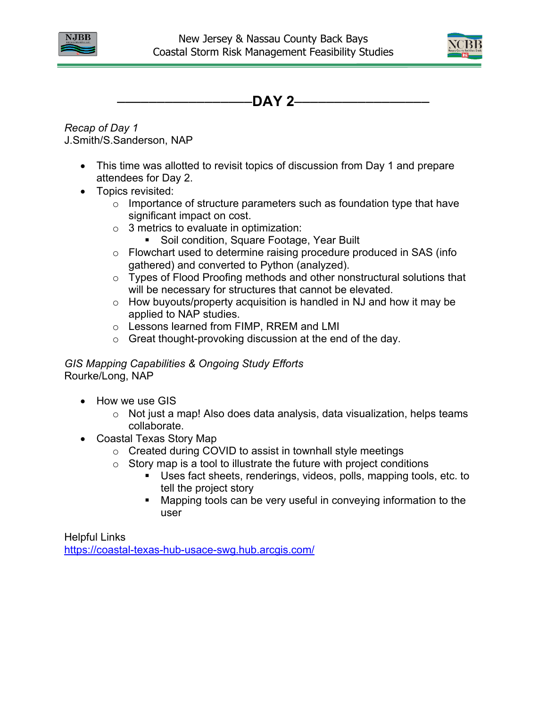



# –––––––––––––––––**DAY 2**–––––––––––––––––

*Recap of Day 1* J.Smith/S.Sanderson, NAP

- This time was allotted to revisit topics of discussion from Day 1 and prepare attendees for Day 2.
- Topics revisited:
	- $\circ$  Importance of structure parameters such as foundation type that have significant impact on cost.
	- o 3 metrics to evaluate in optimization:
		- **Soil condition, Square Footage, Year Built**
	- o Flowchart used to determine raising procedure produced in SAS (info gathered) and converted to Python (analyzed).
	- o Types of Flood Proofing methods and other nonstructural solutions that will be necessary for structures that cannot be elevated.
	- $\circ$  How buyouts/property acquisition is handled in NJ and how it may be applied to NAP studies.
	- o Lessons learned from FIMP, RREM and LMI
	- o Great thought-provoking discussion at the end of the day.

#### *GIS Mapping Capabilities & Ongoing Study Efforts* Rourke/Long, NAP

- How we use GIS
	- o Not just a map! Also does data analysis, data visualization, helps teams collaborate.
- Coastal Texas Story Map
	- o Created during COVID to assist in townhall style meetings
	- $\circ$  Story map is a tool to illustrate the future with project conditions
		- Uses fact sheets, renderings, videos, polls, mapping tools, etc. to tell the project story
		- Mapping tools can be very useful in conveying information to the user

Helpful Links <https://coastal-texas-hub-usace-swg.hub.arcgis.com/>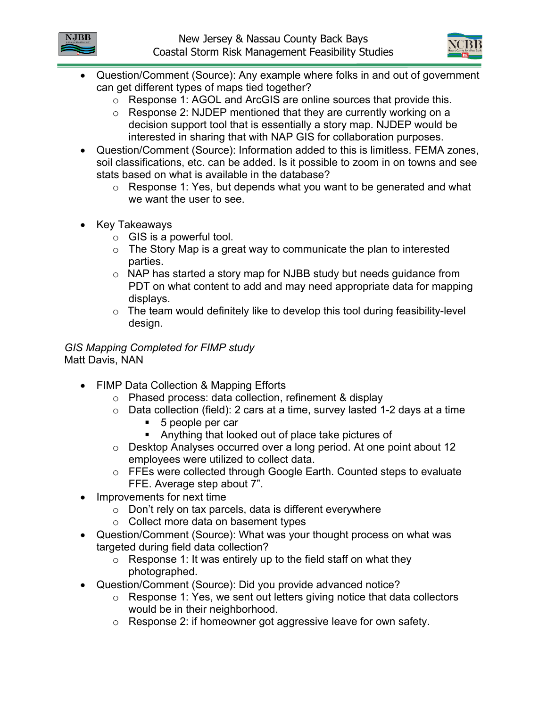



- Question/Comment (Source): Any example where folks in and out of government can get different types of maps tied together?
	- o Response 1: AGOL and ArcGIS are online sources that provide this.
	- o Response 2: NJDEP mentioned that they are currently working on a decision support tool that is essentially a story map. NJDEP would be interested in sharing that with NAP GIS for collaboration purposes.
- Question/Comment (Source): Information added to this is limitless. FEMA zones, soil classifications, etc. can be added. Is it possible to zoom in on towns and see stats based on what is available in the database?
	- $\circ$  Response 1: Yes, but depends what you want to be generated and what we want the user to see.
- Key Takeaways
	- $\circ$  GIS is a powerful tool.
	- $\circ$  The Story Map is a great way to communicate the plan to interested parties.
	- $\circ$  NAP has started a story map for NJBB study but needs guidance from PDT on what content to add and may need appropriate data for mapping displays.
	- $\circ$  The team would definitely like to develop this tool during feasibility-level design.

# *GIS Mapping Completed for FIMP study* Matt Davis, NAN

- FIMP Data Collection & Mapping Efforts
	- o Phased process: data collection, refinement & display
	- $\circ$  Data collection (field): 2 cars at a time, survey lasted 1-2 days at a time
		- 5 people per car
		- Anything that looked out of place take pictures of
	- o Desktop Analyses occurred over a long period. At one point about 12 employees were utilized to collect data.
	- o FFEs were collected through Google Earth. Counted steps to evaluate FFE. Average step about 7".
- Improvements for next time
	- o Don't rely on tax parcels, data is different everywhere
	- o Collect more data on basement types
- Question/Comment (Source): What was your thought process on what was targeted during field data collection?
	- $\circ$  Response 1: It was entirely up to the field staff on what they photographed.
- Question/Comment (Source): Did you provide advanced notice?
	- o Response 1: Yes, we sent out letters giving notice that data collectors would be in their neighborhood.
	- o Response 2: if homeowner got aggressive leave for own safety.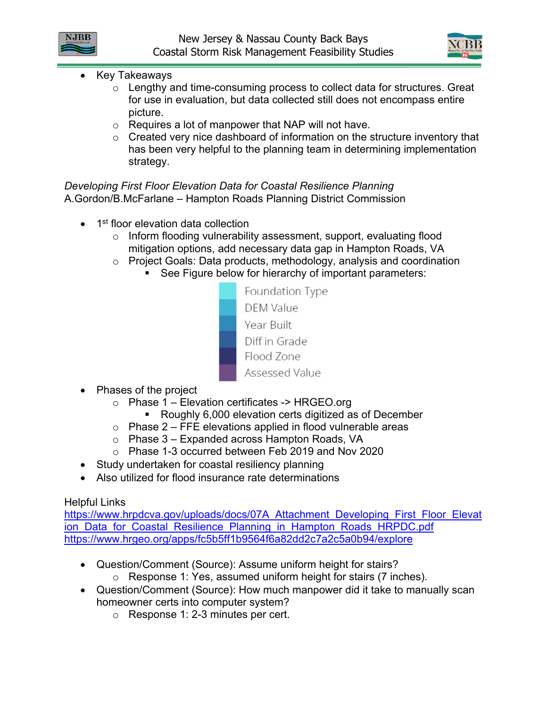



- Key Takeaways
	- o Lengthy and time-consuming process to collect data for structures. Great for use in evaluation, but data collected still does not encompass entire picture.
	- o Requires a lot of manpower that NAP will not have.
	- $\circ$  Created very nice dashboard of information on the structure inventory that has been very helpful to the planning team in determining implementation strategy.

*Developing First Floor Elevation Data for Coastal Resilience Planning* A.Gordon/B.McFarlane – Hampton Roads Planning District Commission

- $\bullet$  1<sup>st</sup> floor elevation data collection
	- o Inform flooding vulnerability assessment, support, evaluating flood mitigation options, add necessary data gap in Hampton Roads, VA
	- o Project Goals: Data products, methodology, analysis and coordination
		- See Figure below for hierarchy of important parameters:

Foundation Type **DEM Value** Year Built<br>Diff in Grade Flood Zone Assessed Value

- Phases of the project
	- o Phase 1 Elevation certificates -> HRGEO.org
		- Roughly 6,000 elevation certs digitized as of December
	- $\circ$  Phase 2 FFE elevations applied in flood vulnerable areas
	- o Phase 3 Expanded across Hampton Roads, VA
	- o Phase 1-3 occurred between Feb 2019 and Nov 2020
- Study undertaken for coastal resiliency planning
- Also utilized for flood insurance rate determinations

#### Helpful Links

https://www.hrpdcva.gov/uploads/docs/07A Attachment Developing First Floor Elevat [ion\\_Data\\_for\\_Coastal\\_Resilience\\_Planning\\_in\\_Hampton\\_Roads\\_HRPDC.pdf](https://www.hrpdcva.gov/uploads/docs/07A_Attachment_Developing_First_Floor_Elevation_Data_for_Coastal_Resilience_Planning_in_Hampton_Roads_HRPDC.pdf) <https://www.hrgeo.org/apps/fc5b5ff1b9564f6a82dd2c7a2c5a0b94/explore>

- Question/Comment (Source): Assume uniform height for stairs?
	- o Response 1: Yes, assumed uniform height for stairs (7 inches).
- Question/Comment (Source): How much manpower did it take to manually scan homeowner certs into computer system?
	- o Response 1: 2-3 minutes per cert.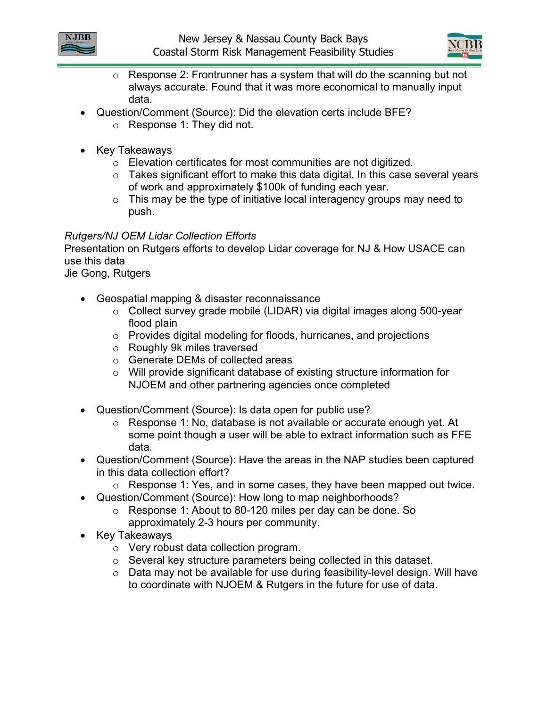



- o Response 2: Frontrunner has a system that will do the scanning but not always accurate. Found that it was more economical to manually input data.
- Question/Comment (Source): Did the elevation certs include BFE?
	- o Response 1: They did not.
- Key Takeaways
	- o Elevation certificates for most communities are not digitized.
	- o Takes significant effort to make this data digital. In this case several years of work and approximately \$100k of funding each year.
	- $\circ$  This may be the type of initiative local interagency groups may need to push.

#### *Rutgers/NJ OEM Lidar Collection Efforts*

Presentation on Rutgers efforts to develop Lidar coverage for NJ & How USACE can use this data

Jie Gong, Rutgers

- Geospatial mapping & disaster reconnaissance
	- o Collect survey grade mobile (LIDAR) via digital images along 500-year flood plain
	- o Provides digital modeling for floods, hurricanes, and projections
	- o Roughly 9k miles traversed
	- o Generate DEMs of collected areas
	- o Will provide significant database of existing structure information for NJOEM and other partnering agencies once completed
- Question/Comment (Source): Is data open for public use?
	- o Response 1: No, database is not available or accurate enough yet. At some point though a user will be able to extract information such as FFE data.
- Question/Comment (Source): Have the areas in the NAP studies been captured in this data collection effort?
	- o Response 1: Yes, and in some cases, they have been mapped out twice.
- Question/Comment (Source): How long to map neighborhoods?
	- o Response 1: About to 80-120 miles per day can be done. So approximately 2-3 hours per community.
- Key Takeaways
	- o Very robust data collection program.
	- o Several key structure parameters being collected in this dataset.
	- o Data may not be available for use during feasibility-level design. Will have to coordinate with NJOEM & Rutgers in the future for use of data.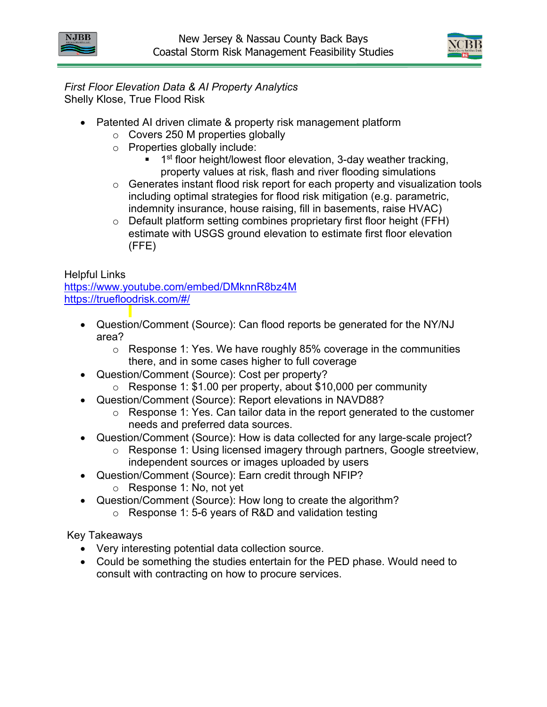



*First Floor Elevation Data & AI Property Analytics* Shelly Klose, True Flood Risk

- Patented AI driven climate & property risk management platform
	- $\circ$  Covers 250 M properties globally
	- o Properties globally include:
		- 1<sup>st</sup> floor height/lowest floor elevation, 3-day weather tracking, property values at risk, flash and river flooding simulations
	- $\circ$  Generates instant flood risk report for each property and visualization tools including optimal strategies for flood risk mitigation (e.g. parametric, indemnity insurance, house raising, fill in basements, raise HVAC)
	- o Default platform setting combines proprietary first floor height (FFH) estimate with USGS ground elevation to estimate first floor elevation (FFE)

Helpful Links

[https://www.youtube.com/embed/DMknnR8bz4M](blockedhttps://www.youtube.com/embed/DMknnR8bz4M) [https://truefloodrisk.com/#/](blockedhttps://truefloodrisk.com/#/)

- Question/Comment (Source): Can flood reports be generated for the NY/NJ area?
	- $\circ$  Response 1: Yes. We have roughly 85% coverage in the communities there, and in some cases higher to full coverage
- Question/Comment (Source): Cost per property?
	- o Response 1: \$1.00 per property, about \$10,000 per community
- Question/Comment (Source): Report elevations in NAVD88?
	- o Response 1: Yes. Can tailor data in the report generated to the customer needs and preferred data sources.
- Question/Comment (Source): How is data collected for any large-scale project?
	- o Response 1: Using licensed imagery through partners, Google streetview, independent sources or images uploaded by users
- Question/Comment (Source): Earn credit through NFIP?
	- o Response 1: No, not yet
- Question/Comment (Source): How long to create the algorithm?
	- o Response 1: 5-6 years of R&D and validation testing

Key Takeaways

- Very interesting potential data collection source.
- Could be something the studies entertain for the PED phase. Would need to consult with contracting on how to procure services.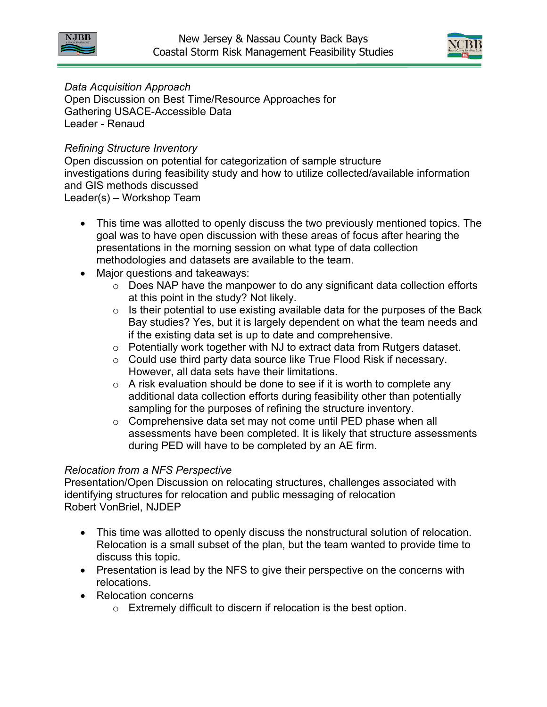

*Data Acquisition Approach* Open Discussion on Best Time/Resource Approaches for Gathering USACE-Accessible Data Leader - Renaud

## *Refining Structure Inventory*

Open discussion on potential for categorization of sample structure investigations during feasibility study and how to utilize collected/available information and GIS methods discussed Leader(s) – Workshop Team

- This time was allotted to openly discuss the two previously mentioned topics. The goal was to have open discussion with these areas of focus after hearing the presentations in the morning session on what type of data collection methodologies and datasets are available to the team.
- Major questions and takeaways:
	- o Does NAP have the manpower to do any significant data collection efforts at this point in the study? Not likely.
	- $\circ$  Is their potential to use existing available data for the purposes of the Back Bay studies? Yes, but it is largely dependent on what the team needs and if the existing data set is up to date and comprehensive.
	- o Potentially work together with NJ to extract data from Rutgers dataset.
	- o Could use third party data source like True Flood Risk if necessary. However, all data sets have their limitations.
	- $\circ$  A risk evaluation should be done to see if it is worth to complete any additional data collection efforts during feasibility other than potentially sampling for the purposes of refining the structure inventory.
	- o Comprehensive data set may not come until PED phase when all assessments have been completed. It is likely that structure assessments during PED will have to be completed by an AE firm.

#### *Relocation from a NFS Perspective*

Presentation/Open Discussion on relocating structures, challenges associated with identifying structures for relocation and public messaging of relocation Robert VonBriel, NJDEP

- This time was allotted to openly discuss the nonstructural solution of relocation. Relocation is a small subset of the plan, but the team wanted to provide time to discuss this topic.
- Presentation is lead by the NFS to give their perspective on the concerns with relocations.
- Relocation concerns
	- o Extremely difficult to discern if relocation is the best option.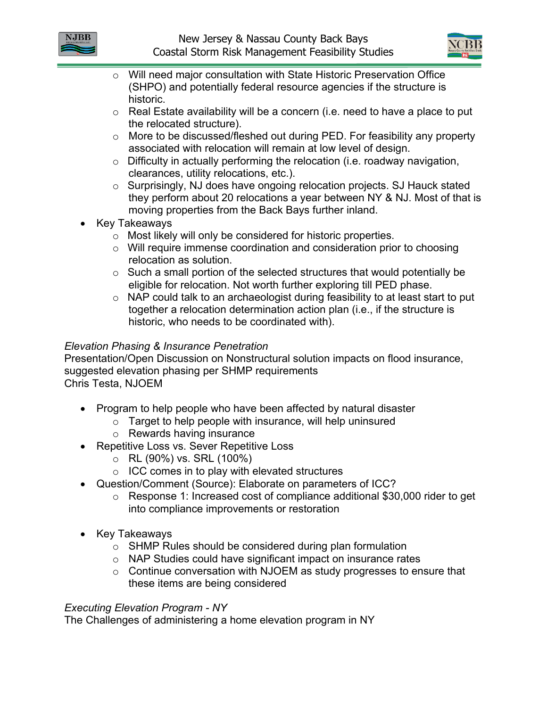



- o Will need major consultation with State Historic Preservation Office (SHPO) and potentially federal resource agencies if the structure is historic.
- o Real Estate availability will be a concern (i.e. need to have a place to put the relocated structure).
- o More to be discussed/fleshed out during PED. For feasibility any property associated with relocation will remain at low level of design.
- $\circ$  Difficulty in actually performing the relocation (i.e. roadway navigation, clearances, utility relocations, etc.).
- o Surprisingly, NJ does have ongoing relocation projects. SJ Hauck stated they perform about 20 relocations a year between NY & NJ. Most of that is moving properties from the Back Bays further inland.
- Key Takeaways
	- o Most likely will only be considered for historic properties.
	- o Will require immense coordination and consideration prior to choosing relocation as solution.
	- $\circ$  Such a small portion of the selected structures that would potentially be eligible for relocation. Not worth further exploring till PED phase.
	- o NAP could talk to an archaeologist during feasibility to at least start to put together a relocation determination action plan (i.e., if the structure is historic, who needs to be coordinated with).

# *Elevation Phasing & Insurance Penetration*

Presentation/Open Discussion on Nonstructural solution impacts on flood insurance, suggested elevation phasing per SHMP requirements Chris Testa, NJOEM

- Program to help people who have been affected by natural disaster
	- $\circ$  Target to help people with insurance, will help uninsured
	- o Rewards having insurance
- Repetitive Loss vs. Sever Repetitive Loss
	- $\circ$  RL (90%) vs. SRL (100%)
	- o ICC comes in to play with elevated structures
- Question/Comment (Source): Elaborate on parameters of ICC?
	- o Response 1: Increased cost of compliance additional \$30,000 rider to get into compliance improvements or restoration
- Key Takeaways
	- o SHMP Rules should be considered during plan formulation
	- o NAP Studies could have significant impact on insurance rates
	- $\circ$  Continue conversation with NJOEM as study progresses to ensure that these items are being considered

#### *Executing Elevation Program - NY*

The Challenges of administering a home elevation program in NY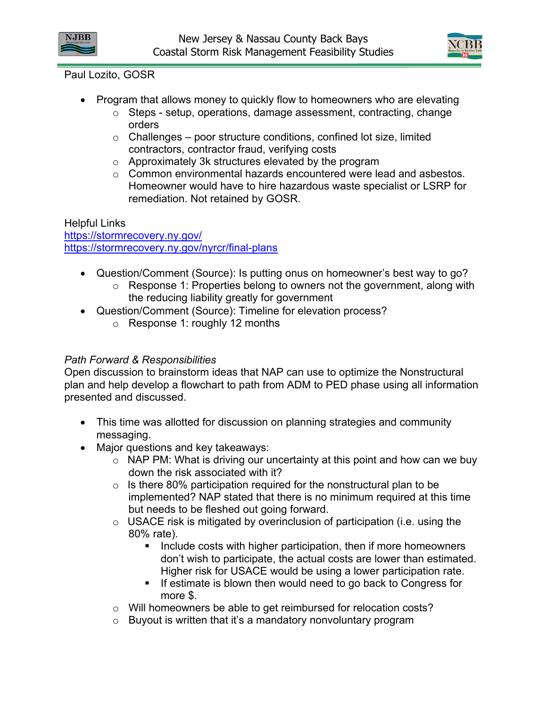



#### Paul Lozito, GOSR

- Program that allows money to quickly flow to homeowners who are elevating
	- $\circ$  Steps setup, operations, damage assessment, contracting, change orders
	- $\circ$  Challenges poor structure conditions, confined lot size, limited contractors, contractor fraud, verifying costs
	- o Approximately 3k structures elevated by the program
	- o Common environmental hazards encountered were lead and asbestos. Homeowner would have to hire hazardous waste specialist or LSRP for remediation. Not retained by GOSR.

#### Helpful Links

<https://stormrecovery.ny.gov/> <https://stormrecovery.ny.gov/nyrcr/final-plans>

- Question/Comment (Source): Is putting onus on homeowner's best way to go?
	- o Response 1: Properties belong to owners not the government, along with the reducing liability greatly for government
- Question/Comment (Source): Timeline for elevation process?
	- o Response 1: roughly 12 months

## *Path Forward & Responsibilities*

Open discussion to brainstorm ideas that NAP can use to optimize the Nonstructural plan and help develop a flowchart to path from ADM to PED phase using all information presented and discussed.

- This time was allotted for discussion on planning strategies and community messaging.
- Major questions and key takeaways:
	- $\circ$  NAP PM: What is driving our uncertainty at this point and how can we buy down the risk associated with it?
	- $\circ$  Is there 80% participation required for the nonstructural plan to be implemented? NAP stated that there is no minimum required at this time but needs to be fleshed out going forward.
	- $\circ$  USACE risk is mitigated by overinclusion of participation (i.e. using the 80% rate).
		- **Include costs with higher participation, then if more homeowners** don't wish to participate, the actual costs are lower than estimated. Higher risk for USACE would be using a lower participation rate.
		- If estimate is blown then would need to go back to Congress for more \$.
	- o Will homeowners be able to get reimbursed for relocation costs?
	- $\circ$  Buyout is written that it's a mandatory nonvoluntary program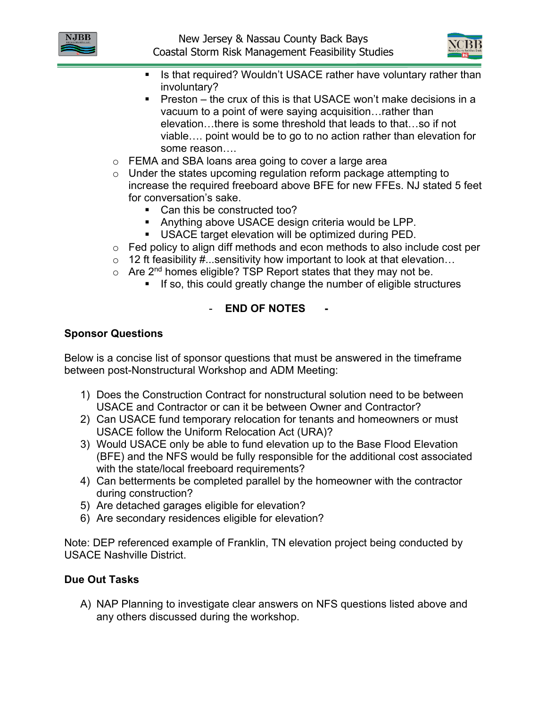



- Is that required? Wouldn't USACE rather have voluntary rather than involuntary?
- Preston the crux of this is that USACE won't make decisions in a vacuum to a point of were saying acquisition…rather than elevation…there is some threshold that leads to that…so if not viable…. point would be to go to no action rather than elevation for some reason….
- o FEMA and SBA loans area going to cover a large area
- o Under the states upcoming regulation reform package attempting to increase the required freeboard above BFE for new FFEs. NJ stated 5 feet for conversation's sake.
	- Can this be constructed too?
	- **Anything above USACE design criteria would be LPP.**
	- USACE target elevation will be optimized during PED.
- o Fed policy to align diff methods and econ methods to also include cost per
- $\circ$  12 ft feasibility #...sensitivity how important to look at that elevation...
- $\circ$  Are 2<sup>nd</sup> homes eligible? TSP Report states that they may not be.
	- **If so, this could greatly change the number of eligible structures**

# - **END OF NOTES -**

# **Sponsor Questions**

Below is a concise list of sponsor questions that must be answered in the timeframe between post-Nonstructural Workshop and ADM Meeting:

- 1) Does the Construction Contract for nonstructural solution need to be between USACE and Contractor or can it be between Owner and Contractor?
- 2) Can USACE fund temporary relocation for tenants and homeowners or must USACE follow the Uniform Relocation Act (URA)?
- 3) Would USACE only be able to fund elevation up to the Base Flood Elevation (BFE) and the NFS would be fully responsible for the additional cost associated with the state/local freeboard requirements?
- 4) Can betterments be completed parallel by the homeowner with the contractor during construction?
- 5) Are detached garages eligible for elevation?
- 6) Are secondary residences eligible for elevation?

Note: DEP referenced example of Franklin, TN elevation project being conducted by USACE Nashville District.

# **Due Out Tasks**

A) NAP Planning to investigate clear answers on NFS questions listed above and any others discussed during the workshop.